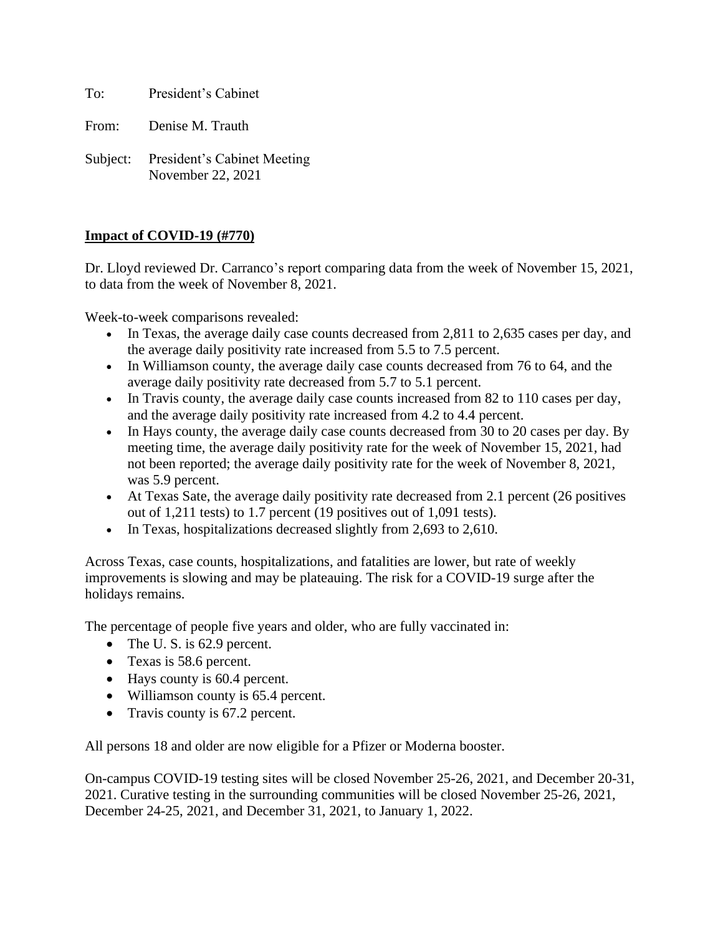To: President's Cabinet

From: Denise M. Trauth

Subject: President's Cabinet Meeting November 22, 2021

# **Impact of COVID-19 (#770)**

Dr. Lloyd reviewed Dr. Carranco's report comparing data from the week of November 15, 2021, to data from the week of November 8, 2021.

Week-to-week comparisons revealed:

- In Texas, the average daily case counts decreased from 2,811 to 2,635 cases per day, and the average daily positivity rate increased from 5.5 to 7.5 percent.
- In Williamson county, the average daily case counts decreased from 76 to 64, and the average daily positivity rate decreased from 5.7 to 5.1 percent.
- In Travis county, the average daily case counts increased from 82 to 110 cases per day, and the average daily positivity rate increased from 4.2 to 4.4 percent.
- In Hays county, the average daily case counts decreased from 30 to 20 cases per day. By meeting time, the average daily positivity rate for the week of November 15, 2021, had not been reported; the average daily positivity rate for the week of November 8, 2021, was 5.9 percent.
- At Texas Sate, the average daily positivity rate decreased from 2.1 percent (26 positives out of 1,211 tests) to 1.7 percent (19 positives out of 1,091 tests).
- In Texas, hospitalizations decreased slightly from 2,693 to 2,610.

Across Texas, case counts, hospitalizations, and fatalities are lower, but rate of weekly improvements is slowing and may be plateauing. The risk for a COVID-19 surge after the holidays remains.

The percentage of people five years and older, who are fully vaccinated in:

- The U.S. is 62.9 percent.
- Texas is 58.6 percent.
- Hays county is 60.4 percent.
- Williamson county is 65.4 percent.
- Travis county is 67.2 percent.

All persons 18 and older are now eligible for a Pfizer or Moderna booster.

On-campus COVID-19 testing sites will be closed November 25-26, 2021, and December 20-31, 2021. Curative testing in the surrounding communities will be closed November 25-26, 2021, December 24-25, 2021, and December 31, 2021, to January 1, 2022.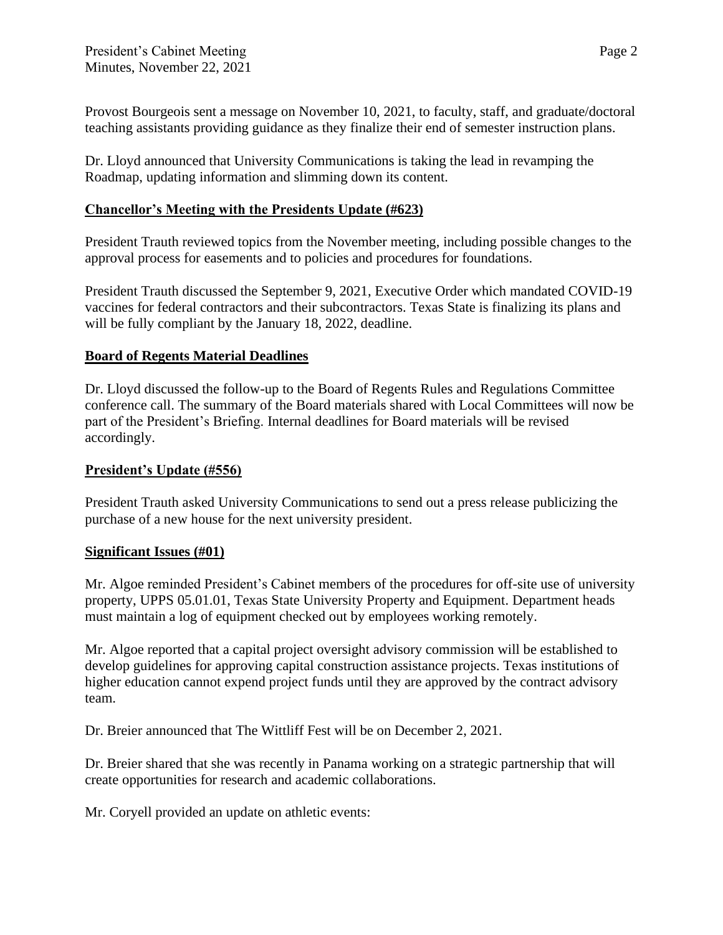Provost Bourgeois sent a message on November 10, 2021, to faculty, staff, and graduate/doctoral teaching assistants providing guidance as they finalize their end of semester instruction plans.

Dr. Lloyd announced that University Communications is taking the lead in revamping the Roadmap, updating information and slimming down its content.

## **Chancellor's Meeting with the Presidents Update (#623)**

President Trauth reviewed topics from the November meeting, including possible changes to the approval process for easements and to policies and procedures for foundations.

President Trauth discussed the September 9, 2021, Executive Order which mandated COVID-19 vaccines for federal contractors and their subcontractors. Texas State is finalizing its plans and will be fully compliant by the January 18, 2022, deadline.

## **Board of Regents Material Deadlines**

Dr. Lloyd discussed the follow-up to the Board of Regents Rules and Regulations Committee conference call. The summary of the Board materials shared with Local Committees will now be part of the President's Briefing. Internal deadlines for Board materials will be revised accordingly.

### **President's Update (#556)**

President Trauth asked University Communications to send out a press release publicizing the purchase of a new house for the next university president.

### **Significant Issues (#01)**

Mr. Algoe reminded President's Cabinet members of the procedures for off-site use of university property, UPPS 05.01.01, Texas State University Property and Equipment. Department heads must maintain a log of equipment checked out by employees working remotely.

Mr. Algoe reported that a capital project oversight advisory commission will be established to develop guidelines for approving capital construction assistance projects. Texas institutions of higher education cannot expend project funds until they are approved by the contract advisory team.

Dr. Breier announced that The Wittliff Fest will be on December 2, 2021.

Dr. Breier shared that she was recently in Panama working on a strategic partnership that will create opportunities for research and academic collaborations.

Mr. Coryell provided an update on athletic events: